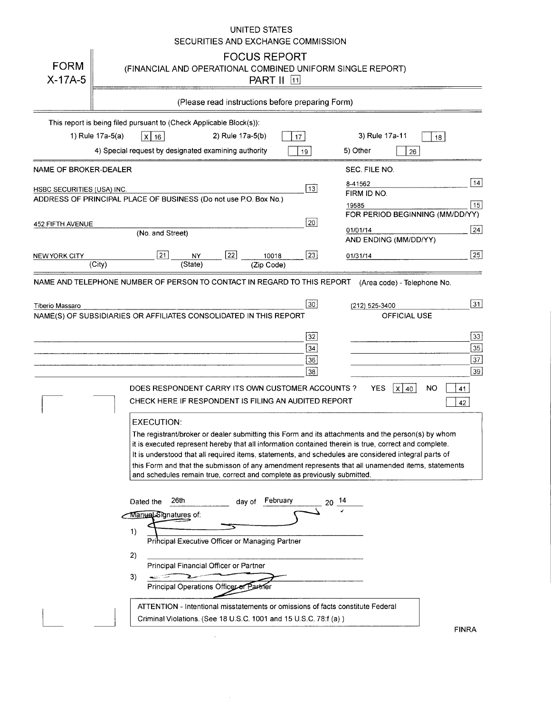### UNITED STATES SECURITIES AND EXCHANGE COMMISSION

| <b>FORM</b><br>$X-17A-5$   |                                                                         |                                                                                   |                  | <b>FOCUS REPORT</b><br><b>PART II</b> 11                                 |                 | (FINANCIAL AND OPERATIONAL COMBINED UNIFORM SINGLE REPORT)                                                                                                                                                                                                                                                                                                                                                               |                                 |           |              |
|----------------------------|-------------------------------------------------------------------------|-----------------------------------------------------------------------------------|------------------|--------------------------------------------------------------------------|-----------------|--------------------------------------------------------------------------------------------------------------------------------------------------------------------------------------------------------------------------------------------------------------------------------------------------------------------------------------------------------------------------------------------------------------------------|---------------------------------|-----------|--------------|
|                            |                                                                         |                                                                                   |                  | (Please read instructions before preparing Form)                         |                 |                                                                                                                                                                                                                                                                                                                                                                                                                          |                                 |           |              |
|                            | This report is being filed pursuant to (Check Applicable Block(s)).     |                                                                                   |                  |                                                                          |                 |                                                                                                                                                                                                                                                                                                                                                                                                                          |                                 |           |              |
|                            | 1) Rule 17a-5(a)<br>$x$ 16                                              |                                                                                   | 2) Rule 17a-5(b) |                                                                          | 17              | 3) Rule 17a-11                                                                                                                                                                                                                                                                                                                                                                                                           |                                 | 18        |              |
|                            | 4) Special request by designated examining authority                    |                                                                                   |                  |                                                                          | 19              | 5) Other                                                                                                                                                                                                                                                                                                                                                                                                                 | 26                              |           |              |
| NAME OF BROKER-DEALER      |                                                                         |                                                                                   |                  |                                                                          |                 | SEC. FILE NO.                                                                                                                                                                                                                                                                                                                                                                                                            |                                 |           |              |
| HSBC SECURITIES (USA) INC. |                                                                         |                                                                                   |                  |                                                                          | $\overline{13}$ | 8-41562<br>FIRM ID NO.                                                                                                                                                                                                                                                                                                                                                                                                   |                                 |           | 14           |
|                            | ADDRESS OF PRINCIPAL PLACE OF BUSINESS (Do not use P.O. Box No.)        |                                                                                   |                  |                                                                          |                 | 19585                                                                                                                                                                                                                                                                                                                                                                                                                    |                                 |           | 15           |
| 452 FIFTH AVENUE           |                                                                         |                                                                                   |                  |                                                                          | 20              |                                                                                                                                                                                                                                                                                                                                                                                                                          | FOR PERIOD BEGINNING (MM/DD/YY) |           |              |
|                            | (No. and Street)                                                        |                                                                                   |                  |                                                                          |                 | 01/01/14                                                                                                                                                                                                                                                                                                                                                                                                                 | AND ENDING (MM/DD/YY)           |           | 24           |
| NEW YORK CITY              | $\boxed{21}$                                                            | NY                                                                                | $\overline{22}$  | 10018                                                                    | 23              | 01/31/14                                                                                                                                                                                                                                                                                                                                                                                                                 |                                 |           | $\boxed{25}$ |
|                            | (City)                                                                  | (State)                                                                           |                  | (Zip Code)                                                               |                 |                                                                                                                                                                                                                                                                                                                                                                                                                          |                                 |           |              |
|                            | NAME AND TELEPHONE NUMBER OF PERSON TO CONTACT IN REGARD TO THIS REPORT |                                                                                   |                  |                                                                          |                 |                                                                                                                                                                                                                                                                                                                                                                                                                          | (Area code) - Telephone No.     |           |              |
| Tiberio Massaro            |                                                                         |                                                                                   |                  |                                                                          | 30 <sub>o</sub> | (212) 525-3400                                                                                                                                                                                                                                                                                                                                                                                                           |                                 |           | 31           |
|                            | NAME(S) OF SUBSIDIARIES OR AFFILIATES CONSOLIDATED IN THIS REPORT       |                                                                                   |                  |                                                                          |                 |                                                                                                                                                                                                                                                                                                                                                                                                                          | OFFICIAL USE                    |           |              |
|                            |                                                                         |                                                                                   |                  |                                                                          | 32              |                                                                                                                                                                                                                                                                                                                                                                                                                          |                                 |           | 33           |
|                            |                                                                         |                                                                                   |                  |                                                                          | 34              |                                                                                                                                                                                                                                                                                                                                                                                                                          |                                 |           | $\boxed{35}$ |
|                            |                                                                         |                                                                                   |                  |                                                                          | 36              |                                                                                                                                                                                                                                                                                                                                                                                                                          |                                 |           | 37           |
|                            |                                                                         |                                                                                   |                  |                                                                          | 38              |                                                                                                                                                                                                                                                                                                                                                                                                                          |                                 |           | $\sqrt{39}$  |
|                            | DOES RESPONDENT CARRY ITS OWN CUSTOMER ACCOUNTS?                        |                                                                                   |                  |                                                                          |                 | <b>YES</b>                                                                                                                                                                                                                                                                                                                                                                                                               | $\mathsf{x}$<br>40              | <b>NO</b> | 41           |
|                            | CHECK HERE IF RESPONDENT IS FILING AN AUDITED REPORT                    |                                                                                   |                  |                                                                          |                 |                                                                                                                                                                                                                                                                                                                                                                                                                          |                                 |           | 42           |
|                            | <b>EXECUTION:</b>                                                       |                                                                                   |                  | and schedules remain true, correct and complete as previously submitted. |                 | The registrant/broker or dealer submitting this Form and its attachments and the person(s) by whom<br>it is executed represent hereby that all information contained therein is true, correct and complete.<br>It is understood that all required items, statements, and schedules are considered integral parts of<br>this Form and that the submisson of any amendment represents that all unamended items, statements |                                 |           |              |
|                            | Dated the<br>Manual Signatures of:<br>1)                                | 26th                                                                              | dav of           | February<br>Principal Executive Officer or Managing Partner              |                 |                                                                                                                                                                                                                                                                                                                                                                                                                          |                                 |           |              |
|                            | 2)<br>3)<br>المتنازل المتعابد                                           | Principal Financial Officer or Partner<br>Principal Operations Officer of Partner |                  |                                                                          |                 |                                                                                                                                                                                                                                                                                                                                                                                                                          |                                 |           |              |
|                            |                                                                         |                                                                                   |                  | Criminal Violations. (See 18 U.S.C. 1001 and 15 U.S.C. 78:f (a))         |                 | ATTENTION - Intentional misstatements or omissions of facts constitute Federal                                                                                                                                                                                                                                                                                                                                           |                                 |           |              |

 $\sim 10^{-10}$ 

FINRA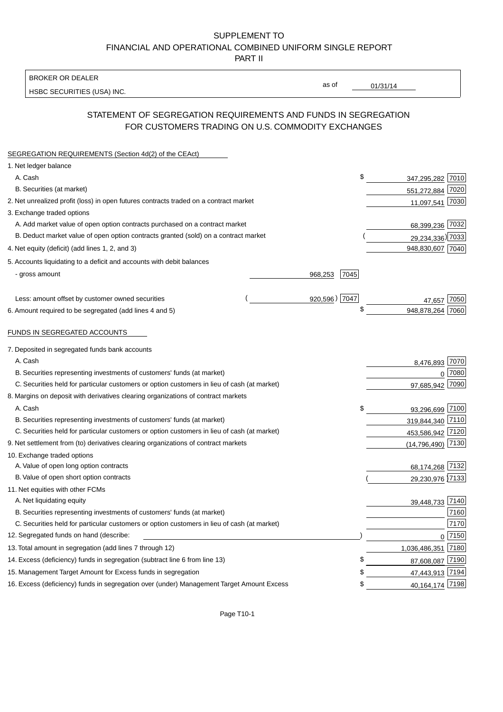#### SUPPLEMENT TO FINANCIAL AND OPERATIONAL COMBINED UNIFORM SINGLE REPORT PART II

BROKER OR DEALER

HSBC SECURITIES (USA) INC.

 $01/31/14$ 

as of

## STATEMENT OF SEGREGATION REQUIREMENTS AND FUNDS IN SEGREGATION FOR CUSTOMERS TRADING ON U.S. COMMODITY EXCHANGES

| SEGREGATION REQUIREMENTS (Section 4d(2) of the CEAct)                                       |               |      |                            |        |
|---------------------------------------------------------------------------------------------|---------------|------|----------------------------|--------|
| 1. Net ledger balance                                                                       |               |      |                            |        |
| A. Cash                                                                                     |               | \$   | 347,295,282 7010           |        |
| B. Securities (at market)                                                                   |               |      | 551,272,884 7020           |        |
| 2. Net unrealized profit (loss) in open futures contracts traded on a contract market       |               |      | 11,097,541 7030            |        |
| 3. Exchange traded options                                                                  |               |      |                            |        |
| A. Add market value of open option contracts purchased on a contract market                 |               |      | 68,399,236 7032            |        |
| B. Deduct market value of open option contracts granted (sold) on a contract market         |               |      | 29,234,336) 7033           |        |
| 4. Net equity (deficit) (add lines 1, 2, and 3)                                             |               |      | 948,830,607 7040           |        |
| 5. Accounts liquidating to a deficit and accounts with debit balances                       |               |      |                            |        |
| - gross amount                                                                              | 968,253       | 7045 |                            |        |
|                                                                                             |               |      |                            |        |
| Less: amount offset by customer owned securities                                            | 920,596) 7047 |      | 47.657                     | 7050   |
| 6. Amount required to be segregated (add lines 4 and 5)                                     |               | \$   | 948,878,264                | 7060   |
| FUNDS IN SEGREGATED ACCOUNTS                                                                |               |      |                            |        |
| 7. Deposited in segregated funds bank accounts                                              |               |      |                            |        |
| A. Cash                                                                                     |               |      |                            |        |
| B. Securities representing investments of customers' funds (at market)                      |               |      | 8,476,893 7070             | 7080   |
| C. Securities held for particular customers or option customers in lieu of cash (at market) |               |      | $\mathbf{0}$<br>97,685,942 | 7090   |
| 8. Margins on deposit with derivatives clearing organizations of contract markets           |               |      |                            |        |
| A. Cash                                                                                     |               | \$   | 93,296,699 7100            |        |
| B. Securities representing investments of customers' funds (at market)                      |               |      | 319,844,340 7110           |        |
| C. Securities held for particular customers or option customers in lieu of cash (at market) |               |      | 453,586,942 7120           |        |
| 9. Net settlement from (to) derivatives clearing organizations of contract markets          |               |      | $(14, 796, 490)$ 7130      |        |
| 10. Exchange traded options                                                                 |               |      |                            |        |
| A. Value of open long option contracts                                                      |               |      | 68,174,268 7132            |        |
| B. Value of open short option contracts                                                     |               |      | 29,230,976 7133            |        |
| 11. Net equities with other FCMs                                                            |               |      |                            |        |
| A. Net liquidating equity                                                                   |               |      | 39,448,733 7140            |        |
| B. Securities representing investments of customers' funds (at market)                      |               |      |                            | 7160   |
| C. Securities held for particular customers or option customers in lieu of cash (at market) |               |      |                            | 7170   |
| 12. Segregated funds on hand (describe:                                                     |               |      |                            | 0 7150 |
| 13. Total amount in segregation (add lines 7 through 12)                                    |               |      | 1,036,486,351 7180         |        |
| 14. Excess (deficiency) funds in segregation (subtract line 6 from line 13)                 |               | £    | 87,608,087 7190            |        |
| 15. Management Target Amount for Excess funds in segregation                                |               |      | 47,443,913 7194            |        |
| 16. Excess (deficiency) funds in segregation over (under) Management Target Amount Excess   |               | \$   | 40, 164, 174 7198          |        |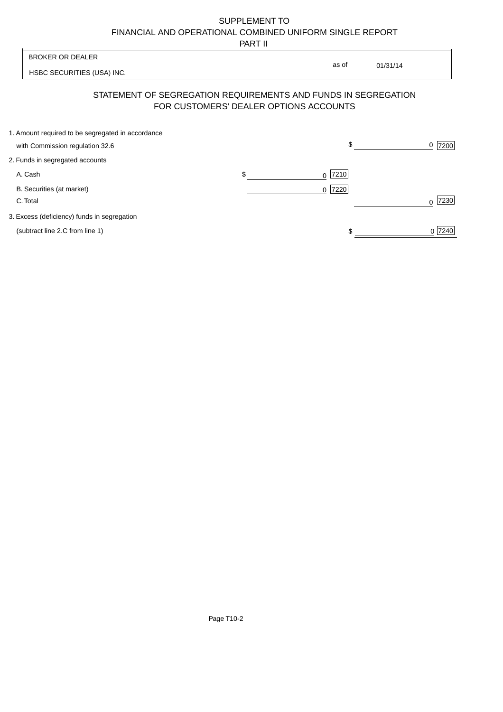# SUPPLEMENT TO FINANCIAL AND OPERATIONAL COMBINED UNIFORM SINGLE REPORT

PART II

 $\overline{\phantom{a}}$ 

| <b>BROKER OR DEALER</b>                                                              |                                        | as of     |          |           |
|--------------------------------------------------------------------------------------|----------------------------------------|-----------|----------|-----------|
| HSBC SECURITIES (USA) INC.                                                           |                                        |           | 01/31/14 |           |
| STATEMENT OF SEGREGATION REQUIREMENTS AND FUNDS IN SEGREGATION                       | FOR CUSTOMERS' DEALER OPTIONS ACCOUNTS |           |          |           |
| 1. Amount required to be segregated in accordance<br>with Commission regulation 32.6 |                                        | \$        |          | 7200<br>0 |
| 2. Funds in segregated accounts                                                      |                                        |           |          |           |
| A. Cash                                                                              | \$                                     | $0$  7210 |          |           |
| B. Securities (at market)<br>C. Total                                                |                                        | $0$  7220 |          | 7230      |
| 3. Excess (deficiency) funds in segregation                                          |                                        |           |          |           |
| (subtract line 2.C from line 1)                                                      |                                        |           |          | 0 7240    |

 $\overline{1}$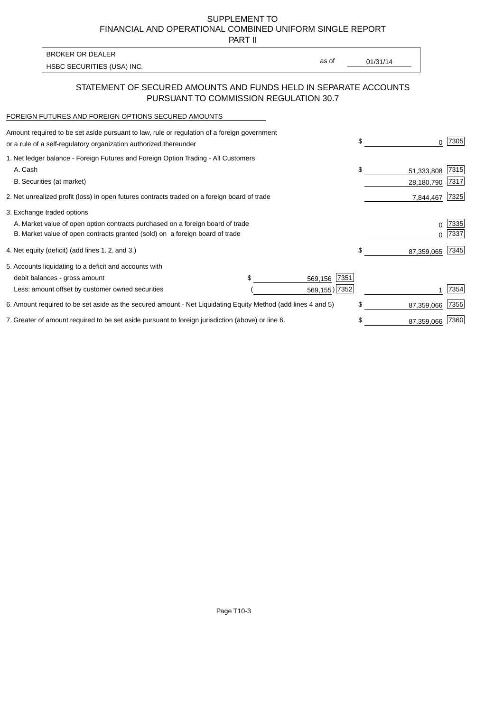SUPPLEMENT TO FINANCIAL AND OPERATIONAL COMBINED UNIFORM SINGLE REPORT

PART II

| BROKER OR DEALER           |       |          |
|----------------------------|-------|----------|
| HSBC SECURITIES (USA) INC. | as of | 01/31/14 |

#### STATEMENT OF SECURED AMOUNTS AND FUNDS HELD IN SEPARATE ACCOUNTS PURSUANT TO COMMISSION REGULATION 30.7

#### FOREIGN FUTURES AND FOREIGN OPTIONS SECURED AMOUNTS

| Amount required to be set aside pursuant to law, rule or regulation of a foreign government<br>or a rule of a self-regulatory organization authorized thereunder | \$              | O.         | 7305 |
|------------------------------------------------------------------------------------------------------------------------------------------------------------------|-----------------|------------|------|
| 1. Net ledger balance - Foreign Futures and Foreign Option Trading - All Customers                                                                               |                 |            |      |
| A. Cash                                                                                                                                                          | \$              | 51,333,808 | 7315 |
| B. Securities (at market)                                                                                                                                        |                 | 28,180,790 | 7317 |
| 2. Net unrealized profit (loss) in open futures contracts traded on a foreign board of trade                                                                     |                 | 7,844,467  | 7325 |
| 3. Exchange traded options                                                                                                                                       |                 |            |      |
| A. Market value of open option contracts purchased on a foreign board of trade                                                                                   |                 | 0          | 7335 |
| B. Market value of open contracts granted (sold) on a foreign board of trade                                                                                     |                 |            | 7337 |
| 4. Net equity (deficit) (add lines 1. 2. and 3.)                                                                                                                 | \$              | 87,359,065 | 7345 |
| 5. Accounts liquidating to a deficit and accounts with                                                                                                           |                 |            |      |
| debit balances - gross amount                                                                                                                                    | 7351<br>569,156 |            |      |
| Less: amount offset by customer owned securities                                                                                                                 | 569,155) 7352   |            | 7354 |
| 6. Amount required to be set aside as the secured amount - Net Liquidating Equity Method (add lines 4 and 5)                                                     | \$              | 87,359,066 | 7355 |
| 7. Greater of amount required to be set aside pursuant to foreign jurisdiction (above) or line 6.                                                                | \$              | 87,359,066 | 7360 |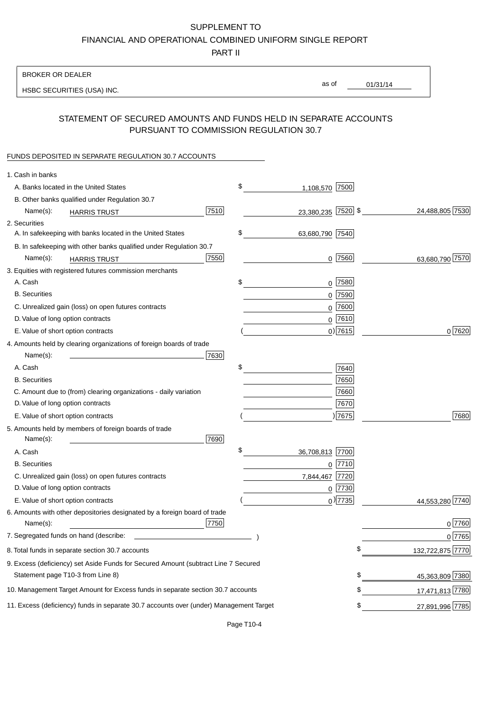# SUPPLEMENT TO

FINANCIAL AND OPERATIONAL COMBINED UNIFORM SINGLE REPORT

PART II

### BROKER OR DEALER

HSBC SECURITIES (USA) INC.

01/31/14 as of

## STATEMENT OF SECURED AMOUNTS AND FUNDS HELD IN SEPARATE ACCOUNTS PURSUANT TO COMMISSION REGULATION 30.7

#### FUNDS DEPOSITED IN SEPARATE REGULATION 30.7 ACCOUNTS

| 1. Cash in banks                                                                       |                       |                        |
|----------------------------------------------------------------------------------------|-----------------------|------------------------|
| A. Banks located in the United States                                                  | \$<br>1,108,570 7500  |                        |
| B. Other banks qualified under Regulation 30.7                                         |                       |                        |
| 7510<br>Name(s):<br><b>HARRIS TRUST</b>                                                | 23,380,235 7520 \$    | 24,488,805 7530        |
| 2. Securities                                                                          |                       |                        |
| A. In safekeeping with banks located in the United States                              | \$<br>63,680,790 7540 |                        |
| B. In safekeeping with other banks qualified under Regulation 30.7                     |                       |                        |
| 7550<br>Name(s):<br><b>HARRIS TRUST</b>                                                | $0$ 7560              | 63,680,790 7570        |
| 3. Equities with registered futures commission merchants                               |                       |                        |
| A. Cash                                                                                | \$<br>$0$   7580      |                        |
| <b>B.</b> Securities                                                                   | 7590<br>0             |                        |
| C. Unrealized gain (loss) on open futures contracts                                    | 7600<br>$\mathbf 0$   |                        |
| D. Value of long option contracts                                                      | $0$ 7610              |                        |
| E. Value of short option contracts                                                     | $0$ ) 7615            | 0 7620                 |
| 4. Amounts held by clearing organizations of foreign boards of trade                   |                       |                        |
| Name(s):<br>7630                                                                       |                       |                        |
| A. Cash                                                                                | \$<br>7640            |                        |
| <b>B.</b> Securities                                                                   | 7650                  |                        |
| C. Amount due to (from) clearing organizations - daily variation                       | 7660                  |                        |
| D. Value of long option contracts                                                      | 7670                  |                        |
| E. Value of short option contracts                                                     | ) 7675                | 7680                   |
| 5. Amounts held by members of foreign boards of trade                                  |                       |                        |
| Name(s):<br>7690                                                                       |                       |                        |
| A. Cash                                                                                | \$<br>36,708,813 7700 |                        |
| <b>B.</b> Securities                                                                   | $0$ 7710              |                        |
| C. Unrealized gain (loss) on open futures contracts                                    | 7720<br>7,844,467     |                        |
| D. Value of long option contracts                                                      | $0$  7730             |                        |
| E. Value of short option contracts                                                     | $_0$ ) 7735           | 7740<br>44,553,280     |
| 6. Amounts with other depositories designated by a foreign board of trade              |                       |                        |
| 7750<br>Name(s):                                                                       |                       | 0 7760                 |
| 7. Segregated funds on hand (describe:                                                 |                       | 0 7765                 |
| 8. Total funds in separate section 30.7 accounts                                       |                       | \$<br>132,722,875 7770 |
| 9. Excess (deficiency) set Aside Funds for Secured Amount (subtract Line 7 Secured     |                       |                        |
| Statement page T10-3 from Line 8)                                                      |                       | \$<br>45,363,809 7380  |
| 10. Management Target Amount for Excess funds in separate section 30.7 accounts        |                       | \$<br>17,471,813 7780  |
| 11. Excess (deficiency) funds in separate 30.7 accounts over (under) Management Target |                       | \$<br>27,891,996 7785  |
|                                                                                        |                       |                        |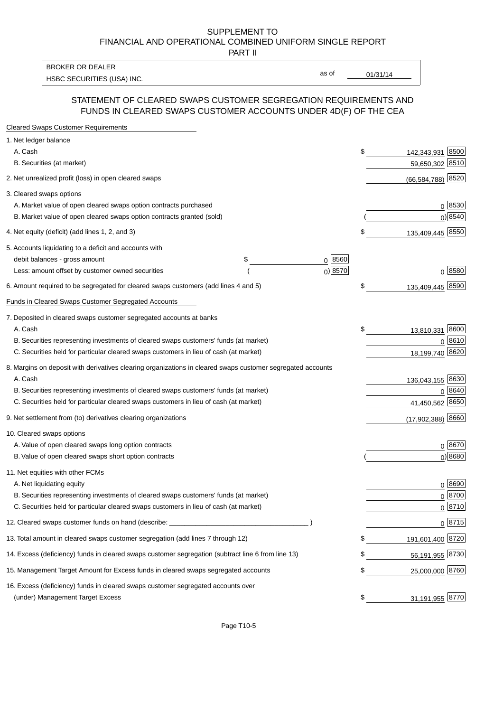#### SUPPLEMENT TO FINANCIAL AND OPERATIONAL COMBINED UNIFORM SINGLE REPORT PART II

HSBC SECURITIES (USA) INC. The state of the state of the state of the state of the state of the state of the state of the state of the state of the state of the state of the state of the state of the state of the state of BROKER OR DEALER

as of

#### STATEMENT OF CLEARED SWAPS CUSTOMER SEGREGATION REQUIREMENTS AND FUNDS IN CLEARED SWAPS CUSTOMER ACCOUNTS UNDER 4D(F) OF THE CEA

| <b>Cleared Swaps Customer Requirements</b>                                                                  |            |                        |                    |
|-------------------------------------------------------------------------------------------------------------|------------|------------------------|--------------------|
| 1. Net ledger balance                                                                                       |            |                        |                    |
| A. Cash                                                                                                     |            | \$<br>142,343,931      | 8500               |
| B. Securities (at market)                                                                                   |            | 59,650,302             | 8510               |
| 2. Net unrealized profit (loss) in open cleared swaps                                                       |            | (66, 584, 788)         | 8520               |
| 3. Cleared swaps options                                                                                    |            |                        |                    |
| A. Market value of open cleared swaps option contracts purchased                                            |            |                        | $0^{8530}$         |
| B. Market value of open cleared swaps option contracts granted (sold)                                       |            |                        | 0 8540             |
| 4. Net equity (deficit) (add lines 1, 2, and 3)                                                             |            | \$<br>135,409,445 8550 |                    |
| 5. Accounts liquidating to a deficit and accounts with                                                      |            |                        |                    |
| \$<br>debit balances - gross amount                                                                         | $0^{8560}$ |                        |                    |
| Less: amount offset by customer owned securities                                                            | $0)$ 8570  |                        | $0 \; 8580$        |
| 6. Amount required to be segregated for cleared swaps customers (add lines 4 and 5)                         |            | \$<br>135,409,445      | 8590               |
| Funds in Cleared Swaps Customer Segregated Accounts                                                         |            |                        |                    |
| 7. Deposited in cleared swaps customer segregated accounts at banks                                         |            |                        |                    |
| A. Cash                                                                                                     |            | \$<br>13,810,331       | 8600               |
| B. Securities representing investments of cleared swaps customers' funds (at market)                        |            |                        | 0 8610             |
| C. Securities held for particular cleared swaps customers in lieu of cash (at market)                       |            | 18,199,740 8620        |                    |
| 8. Margins on deposit with derivatives clearing organizations in cleared swaps customer segregated accounts |            |                        |                    |
| A. Cash                                                                                                     |            | 136,043,155 8630       |                    |
| B. Securities representing investments of cleared swaps customers' funds (at market)                        |            | 0                      | 8640               |
| C. Securities held for particular cleared swaps customers in lieu of cash (at market)                       |            | 41,450,562             | 8650               |
| 9. Net settlement from (to) derivatives clearing organizations                                              |            | (17,902,388)           | 8660               |
| 10. Cleared swaps options                                                                                   |            |                        |                    |
| A. Value of open cleared swaps long option contracts                                                        |            |                        | $0^{8670}$         |
| B. Value of open cleared swaps short option contracts                                                       |            |                        | $0$ ) 8680         |
| 11. Net equities with other FCMs                                                                            |            |                        |                    |
| A. Net liquidating equity                                                                                   |            |                        | $0^{8690}$         |
| B. Securities representing investments of cleared swaps customers' funds (at market)                        |            |                        | $0 \frac{8700}{ }$ |
| C. Securities held for particular cleared swaps customers in lieu of cash (at market)                       |            |                        | 0 8710             |
| 12. Cleared swaps customer funds on hand (describe: _                                                       |            |                        | $0 \;  8715 $      |
| 13. Total amount in cleared swaps customer segregation (add lines 7 through 12)                             |            | 191,601,400 8720       |                    |
| 14. Excess (deficiency) funds in cleared swaps customer segregation (subtract line 6 from line 13)          |            | 56,191,955 8730        |                    |
| 15. Management Target Amount for Excess funds in cleared swaps segregated accounts                          |            | \$<br>25,000,000 8760  |                    |
| 16. Excess (deficiency) funds in cleared swaps customer segregated accounts over                            |            |                        |                    |
| (under) Management Target Excess                                                                            |            | \$<br>31,191,955 8770  |                    |